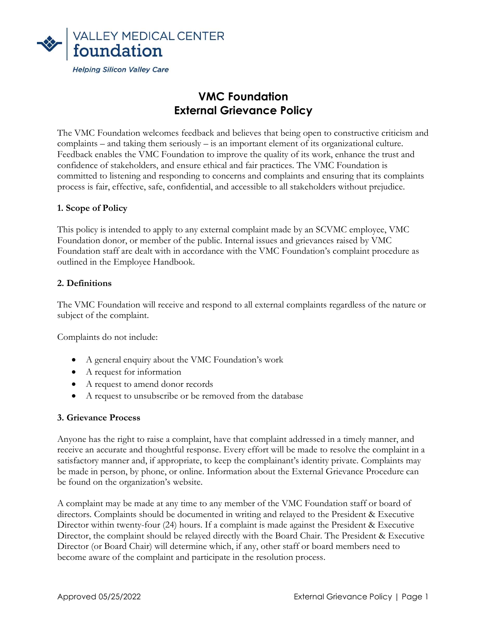

# VMC Foundation External Grievance Policy

The VMC Foundation welcomes feedback and believes that being open to constructive criticism and complaints – and taking them seriously – is an important element of its organizational culture. Feedback enables the VMC Foundation to improve the quality of its work, enhance the trust and confidence of stakeholders, and ensure ethical and fair practices. The VMC Foundation is committed to listening and responding to concerns and complaints and ensuring that its complaints process is fair, effective, safe, confidential, and accessible to all stakeholders without prejudice.

## 1. Scope of Policy

This policy is intended to apply to any external complaint made by an SCVMC employee, VMC Foundation donor, or member of the public. Internal issues and grievances raised by VMC Foundation staff are dealt with in accordance with the VMC Foundation's complaint procedure as outlined in the Employee Handbook.

### 2. Definitions

The VMC Foundation will receive and respond to all external complaints regardless of the nature or subject of the complaint.

Complaints do not include:

- A general enquiry about the VMC Foundation's work
- A request for information
- A request to amend donor records
- A request to unsubscribe or be removed from the database

### 3. Grievance Process

Anyone has the right to raise a complaint, have that complaint addressed in a timely manner, and receive an accurate and thoughtful response. Every effort will be made to resolve the complaint in a satisfactory manner and, if appropriate, to keep the complainant's identity private. Complaints may be made in person, by phone, or online. Information about the External Grievance Procedure can be found on the organization's website.

A complaint may be made at any time to any member of the VMC Foundation staff or board of directors. Complaints should be documented in writing and relayed to the President & Executive Director within twenty-four (24) hours. If a complaint is made against the President & Executive Director, the complaint should be relayed directly with the Board Chair. The President & Executive Director (or Board Chair) will determine which, if any, other staff or board members need to become aware of the complaint and participate in the resolution process.